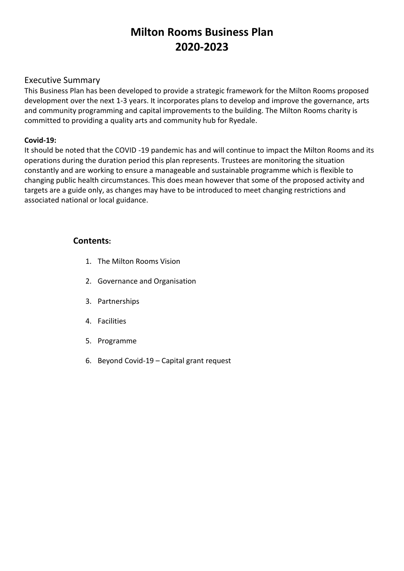# **Milton Rooms Business Plan 2020-2023**

## Executive Summary

This Business Plan has been developed to provide a strategic framework for the Milton Rooms proposed development over the next 1-3 years. It incorporates plans to develop and improve the governance, arts and community programming and capital improvements to the building. The Milton Rooms charity is committed to providing a quality arts and community hub for Ryedale.

#### **Covid-19:**

It should be noted that the COVID -19 pandemic has and will continue to impact the Milton Rooms and its operations during the duration period this plan represents. Trustees are monitoring the situation constantly and are working to ensure a manageable and sustainable programme which is flexible to changing public health circumstances. This does mean however that some of the proposed activity and targets are a guide only, as changes may have to be introduced to meet changing restrictions and associated national or local guidance.

## **Contents:**

- 1. The Milton Rooms Vision
- 2. Governance and Organisation
- 3. Partnerships
- 4. Facilities
- 5. Programme
- 6. Beyond Covid-19 Capital grant request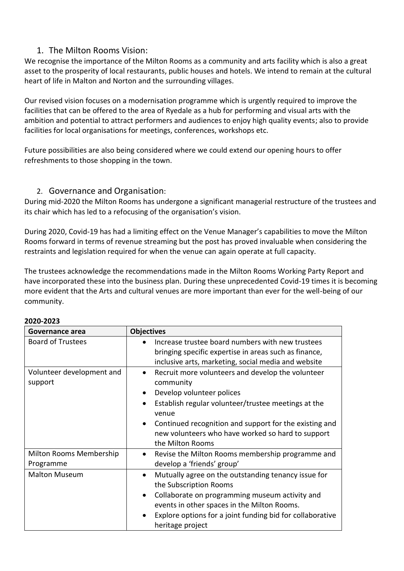## 1. The Milton Rooms Vision:

We recognise the importance of the Milton Rooms as a community and arts facility which is also a great asset to the prosperity of local restaurants, public houses and hotels. We intend to remain at the cultural heart of life in Malton and Norton and the surrounding villages.

Our revised vision focuses on a modernisation programme which is urgently required to improve the facilities that can be offered to the area of Ryedale as a hub for performing and visual arts with the ambition and potential to attract performers and audiences to enjoy high quality events; also to provide facilities for local organisations for meetings, conferences, workshops etc.

Future possibilities are also being considered where we could extend our opening hours to offer refreshments to those shopping in the town.

## 2. Governance and Organisation:

During mid-2020 the Milton Rooms has undergone a significant managerial restructure of the trustees and its chair which has led to a refocusing of the organisation's vision.

During 2020, Covid-19 has had a limiting effect on the Venue Manager's capabilities to move the Milton Rooms forward in terms of revenue streaming but the post has proved invaluable when considering the restraints and legislation required for when the venue can again operate at full capacity.

The trustees acknowledge the recommendations made in the Milton Rooms Working Party Report and have incorporated these into the business plan. During these unprecedented Covid-19 times it is becoming more evident that the Arts and cultural venues are more important than ever for the well-being of our community.

| Governance area                      | <b>Objectives</b>                                                                                                                                                                                                                                                                                           |
|--------------------------------------|-------------------------------------------------------------------------------------------------------------------------------------------------------------------------------------------------------------------------------------------------------------------------------------------------------------|
| <b>Board of Trustees</b>             | Increase trustee board numbers with new trustees<br>bringing specific expertise in areas such as finance,<br>inclusive arts, marketing, social media and website                                                                                                                                            |
| Volunteer development and<br>support | Recruit more volunteers and develop the volunteer<br>$\bullet$<br>community<br>Develop volunteer polices<br>Establish regular volunteer/trustee meetings at the<br>venue<br>Continued recognition and support for the existing and<br>new volunteers who have worked so hard to support<br>the Milton Rooms |
| Milton Rooms Membership<br>Programme | Revise the Milton Rooms membership programme and<br>develop a 'friends' group'                                                                                                                                                                                                                              |
| <b>Malton Museum</b>                 | Mutually agree on the outstanding tenancy issue for<br>$\bullet$<br>the Subscription Rooms<br>Collaborate on programming museum activity and<br>$\bullet$<br>events in other spaces in the Milton Rooms.<br>Explore options for a joint funding bid for collaborative<br>heritage project                   |

#### **2020-2023**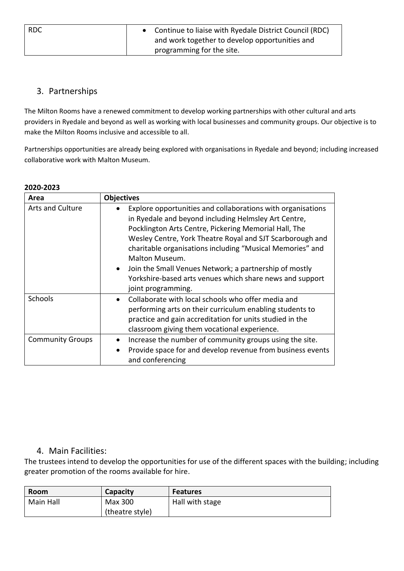| <b>RDC</b> | Continue to liaise with Ryedale District Council (RDC) |  |
|------------|--------------------------------------------------------|--|
|            | and work together to develop opportunities and         |  |
|            | programming for the site.                              |  |

## 3. Partnerships

The Milton Rooms have a renewed commitment to develop working partnerships with other cultural and arts providers in Ryedale and beyond as well as working with local businesses and community groups. Our objective is to make the Milton Rooms inclusive and accessible to all.

Partnerships opportunities are already being explored with organisations in Ryedale and beyond; including increased collaborative work with Malton Museum.

| ZUZU–ZUZJ               |                                                                                                                                                                                                                                                                                                                                                                                                                                                                                   |  |  |  |
|-------------------------|-----------------------------------------------------------------------------------------------------------------------------------------------------------------------------------------------------------------------------------------------------------------------------------------------------------------------------------------------------------------------------------------------------------------------------------------------------------------------------------|--|--|--|
| Area                    | <b>Objectives</b>                                                                                                                                                                                                                                                                                                                                                                                                                                                                 |  |  |  |
| <b>Arts and Culture</b> | Explore opportunities and collaborations with organisations<br>in Ryedale and beyond including Helmsley Art Centre,<br>Pocklington Arts Centre, Pickering Memorial Hall, The<br>Wesley Centre, York Theatre Royal and SJT Scarborough and<br>charitable organisations including "Musical Memories" and<br>Malton Museum.<br>Join the Small Venues Network; a partnership of mostly<br>$\bullet$<br>Yorkshire-based arts venues which share news and support<br>joint programming. |  |  |  |
| <b>Schools</b>          | Collaborate with local schools who offer media and<br>performing arts on their curriculum enabling students to<br>practice and gain accreditation for units studied in the<br>classroom giving them vocational experience.                                                                                                                                                                                                                                                        |  |  |  |
| <b>Community Groups</b> | Increase the number of community groups using the site.<br>Provide space for and develop revenue from business events<br>$\bullet$<br>and conferencing                                                                                                                                                                                                                                                                                                                            |  |  |  |

#### **2020-2023**

### 4. Main Facilities:

The trustees intend to develop the opportunities for use of the different spaces with the building; including greater promotion of the rooms available for hire.

| <b>Room</b> | Capacity        | <b>Features</b> |
|-------------|-----------------|-----------------|
| Main Hall   | Max 300         | Hall with stage |
|             | (theatre style) |                 |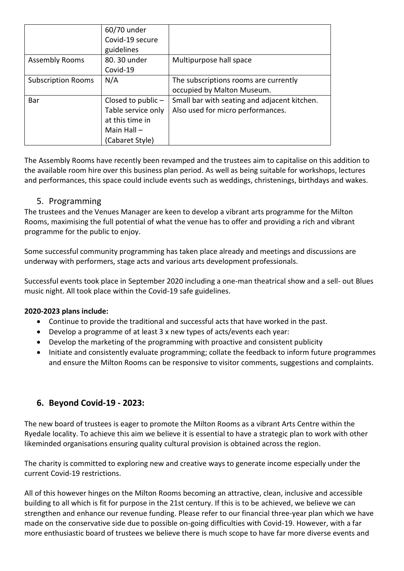|                           | 60/70 under        |                                              |
|---------------------------|--------------------|----------------------------------------------|
|                           | Covid-19 secure    |                                              |
|                           | guidelines         |                                              |
| <b>Assembly Rooms</b>     | 80. 30 under       | Multipurpose hall space                      |
|                           | Covid-19           |                                              |
| <b>Subscription Rooms</b> | N/A                | The subscriptions rooms are currently        |
|                           |                    | occupied by Malton Museum.                   |
| Bar                       | Closed to public - | Small bar with seating and adjacent kitchen. |
|                           | Table service only | Also used for micro performances.            |
|                           | at this time in    |                                              |
|                           | Main Hall $-$      |                                              |
|                           | (Cabaret Style)    |                                              |

The Assembly Rooms have recently been revamped and the trustees aim to capitalise on this addition to the available room hire over this business plan period. As well as being suitable for workshops, lectures and performances, this space could include events such as weddings, christenings, birthdays and wakes.

## 5. Programming

The trustees and the Venues Manager are keen to develop a vibrant arts programme for the Milton Rooms, maximising the full potential of what the venue has to offer and providing a rich and vibrant programme for the public to enjoy.

Some successful community programming has taken place already and meetings and discussions are underway with performers, stage acts and various arts development professionals.

Successful events took place in September 2020 including a one-man theatrical show and a sell- out Blues music night. All took place within the Covid-19 safe guidelines.

#### **2020-2023 plans include:**

- Continue to provide the traditional and successful acts that have worked in the past.
- Develop a programme of at least 3 x new types of acts/events each year:
- Develop the marketing of the programming with proactive and consistent publicity
- Initiate and consistently evaluate programming; collate the feedback to inform future programmes and ensure the Milton Rooms can be responsive to visitor comments, suggestions and complaints.

## **6. Beyond Covid-19 - 2023:**

The new board of trustees is eager to promote the Milton Rooms as a vibrant Arts Centre within the Ryedale locality. To achieve this aim we believe it is essential to have a strategic plan to work with other likeminded organisations ensuring quality cultural provision is obtained across the region.

The charity is committed to exploring new and creative ways to generate income especially under the current Covid-19 restrictions.

All of this however hinges on the Milton Rooms becoming an attractive, clean, inclusive and accessible building to all which is fit for purpose in the 21st century. If this is to be achieved, we believe we can strengthen and enhance our revenue funding. Please refer to our financial three-year plan which we have made on the conservative side due to possible on-going difficulties with Covid-19. However, with a far more enthusiastic board of trustees we believe there is much scope to have far more diverse events and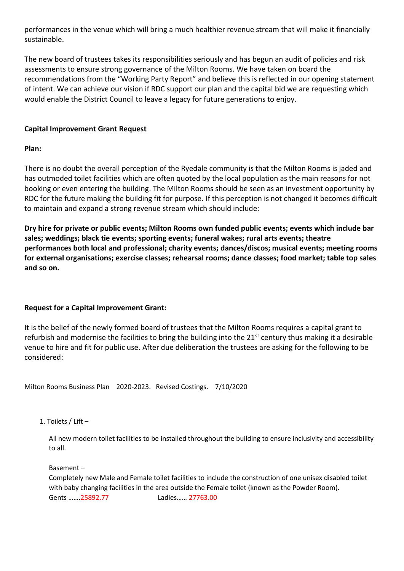performances in the venue which will bring a much healthier revenue stream that will make it financially sustainable.

The new board of trustees takes its responsibilities seriously and has begun an audit of policies and risk assessments to ensure strong governance of the Milton Rooms. We have taken on board the recommendations from the "Working Party Report" and believe this is reflected in our opening statement of intent. We can achieve our vision if RDC support our plan and the capital bid we are requesting which would enable the District Council to leave a legacy for future generations to enjoy.

#### **Capital Improvement Grant Request**

#### **Plan:**

There is no doubt the overall perception of the Ryedale community is that the Milton Rooms is jaded and has outmoded toilet facilities which are often quoted by the local population as the main reasons for not booking or even entering the building. The Milton Rooms should be seen as an investment opportunity by RDC for the future making the building fit for purpose. If this perception is not changed it becomes difficult to maintain and expand a strong revenue stream which should include:

**Dry hire for private or public events; Milton Rooms own funded public events; events which include bar sales; weddings; black tie events; sporting events; funeral wakes; rural arts events; theatre performances both local and professional; charity events; dances/discos; musical events; meeting rooms for external organisations; exercise classes; rehearsal rooms; dance classes; food market; table top sales and so on.**

#### **Request for a Capital Improvement Grant:**

It is the belief of the newly formed board of trustees that the Milton Rooms requires a capital grant to refurbish and modernise the facilities to bring the building into the 21<sup>st</sup> century thus making it a desirable venue to hire and fit for public use. After due deliberation the trustees are asking for the following to be considered:

Milton Rooms Business Plan 2020-2023. Revised Costings. 7/10/2020

1. Toilets / Lift –

All new modern toilet facilities to be installed throughout the building to ensure inclusivity and accessibility to all.

Basement –

Completely new Male and Female toilet facilities to include the construction of one unisex disabled toilet with baby changing facilities in the area outside the Female toilet (known as the Powder Room). Gents …….25892.77 Ladies…… 27763.00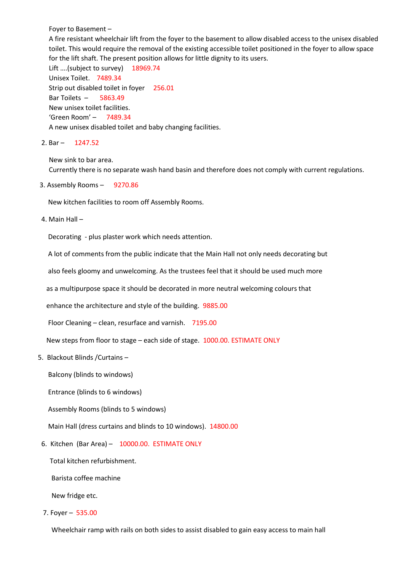Foyer to Basement –

A fire resistant wheelchair lift from the foyer to the basement to allow disabled access to the unisex disabled toilet. This would require the removal of the existing accessible toilet positioned in the foyer to allow space for the lift shaft. The present position allows for little dignity to its users.

Lift ....(subject to survey) 18969.74 Unisex Toilet. 7489.34 Strip out disabled toilet in foyer 256.01 Bar Toilets – 5863.49 New unisex toilet facilities. 'Green Room' – 7489.34 A new unisex disabled toilet and baby changing facilities.

2. Bar – 1247.52

New sink to bar area. Currently there is no separate wash hand basin and therefore does not comply with current regulations.

3. Assembly Rooms – 9270.86

New kitchen facilities to room off Assembly Rooms.

4. Main Hall –

Decorating - plus plaster work which needs attention.

A lot of comments from the public indicate that the Main Hall not only needs decorating but

also feels gloomy and unwelcoming. As the trustees feel that it should be used much more

as a multipurpose space it should be decorated in more neutral welcoming colours that

enhance the architecture and style of the building. 9885.00

Floor Cleaning – clean, resurface and varnish. 7195.00

New steps from floor to stage – each side of stage. 1000.00. ESTIMATE ONLY

5. Blackout Blinds /Curtains –

Balcony (blinds to windows)

Entrance (blinds to 6 windows)

Assembly Rooms (blinds to 5 windows)

Main Hall (dress curtains and blinds to 10 windows). 14800.00

6. Kitchen (Bar Area) – 10000.00. ESTIMATE ONLY

Total kitchen refurbishment.

Barista coffee machine

New fridge etc.

7. Foyer – 535.00

Wheelchair ramp with rails on both sides to assist disabled to gain easy access to main hall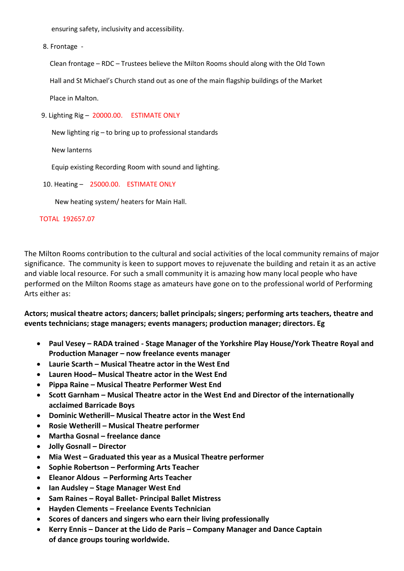ensuring safety, inclusivity and accessibility.

8. Frontage -

 Clean frontage – RDC – Trustees believe the Milton Rooms should along with the Old Town Hall and St Michael's Church stand out as one of the main flagship buildings of the Market

Place in Malton.

9. Lighting Rig – 20000.00. ESTIMATE ONLY

New lighting rig – to bring up to professional standards

New lanterns

Equip existing Recording Room with sound and lighting.

10. Heating – 25000.00. ESTIMATE ONLY

New heating system/ heaters for Main Hall.

#### TOTAL 192657.07

The Milton Rooms contribution to the cultural and social activities of the local community remains of major significance. The community is keen to support moves to rejuvenate the building and retain it as an active and viable local resource. For such a small community it is amazing how many local people who have performed on the Milton Rooms stage as amateurs have gone on to the professional world of Performing Arts either as:

**Actors; musical theatre actors; dancers; ballet principals; singers; performing arts teachers, theatre and events technicians; stage managers; events managers; production manager; directors. Eg**

- **Paul Vesey – RADA trained - Stage Manager of the Yorkshire Play House/York Theatre Royal and Production Manager – now freelance events manager**
- **Laurie Scarth – Musical Theatre actor in the West End**
- **Lauren Hood– Musical Theatre actor in the West End**
- **Pippa Raine – Musical Theatre Performer West End**
- **Scott Garnham – Musical Theatre actor in the West End and Director of the internationally acclaimed Barricade Boys**
- **Dominic Wetherill– Musical Theatre actor in the West End**
- **Rosie Wetherill – Musical Theatre performer**
- **Martha Gosnal – freelance dance**
- **Jolly Gosnall – Director**
- **Mia West – Graduated this year as a Musical Theatre performer**
- **Sophie Robertson – Performing Arts Teacher**
- **Eleanor Aldous – Performing Arts Teacher**
- **Ian Audsley – Stage Manager West End**
- **Sam Raines – Royal Ballet- Principal Ballet Mistress**
- **Hayden Clements – Freelance Events Technician**
- **Scores of dancers and singers who earn their living professionally**
- **Kerry Ennis – Dancer at the Lido de Paris – Company Manager and Dance Captain of dance groups touring worldwide.**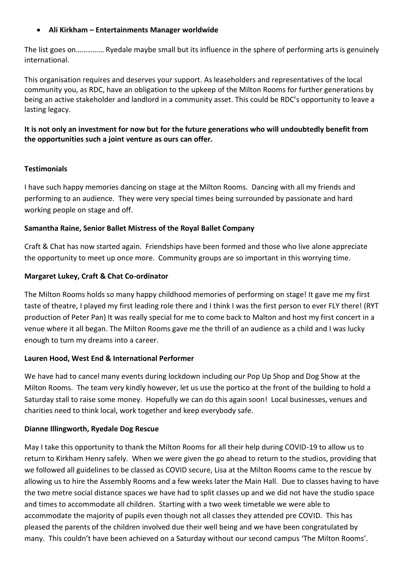#### **Ali Kirkham – Entertainments Manager worldwide**

The list goes on…………… Ryedale maybe small but its influence in the sphere of performing arts is genuinely international.

This organisation requires and deserves your support. As leaseholders and representatives of the local community you, as RDC, have an obligation to the upkeep of the Milton Rooms for further generations by being an active stakeholder and landlord in a community asset. This could be RDC's opportunity to leave a lasting legacy.

#### **It is not only an investment for now but for the future generations who will undoubtedly benefit from the opportunities such a joint venture as ours can offer.**

#### **Testimonials**

I have such happy memories dancing on stage at the Milton Rooms. Dancing with all my friends and performing to an audience. They were very special times being surrounded by passionate and hard working people on stage and off.

#### **Samantha Raine, Senior Ballet Mistress of the Royal Ballet Company**

Craft & Chat has now started again. Friendships have been formed and those who live alone appreciate the opportunity to meet up once more. Community groups are so important in this worrying time.

#### **Margaret Lukey, Craft & Chat Co-ordinator**

The Milton Rooms holds so many happy childhood memories of performing on stage! It gave me my first taste of theatre, I played my first leading role there and I think I was the first person to ever FLY there! (RYT production of Peter Pan) It was really special for me to come back to Malton and host my first concert in a venue where it all began. The Milton Rooms gave me the thrill of an audience as a child and I was lucky enough to turn my dreams into a career.

#### **Lauren Hood, West End & International Performer**

We have had to cancel many events during lockdown including our Pop Up Shop and Dog Show at the Milton Rooms. The team very kindly however, let us use the portico at the front of the building to hold a Saturday stall to raise some money. Hopefully we can do this again soon! Local businesses, venues and charities need to think local, work together and keep everybody safe.

#### **Dianne Illingworth, Ryedale Dog Rescue**

May I take this opportunity to thank the Milton Rooms for all their help during COVID-19 to allow us to return to Kirkham Henry safely. When we were given the go ahead to return to the studios, providing that we followed all guidelines to be classed as COVID secure, Lisa at the Milton Rooms came to the rescue by allowing us to hire the Assembly Rooms and a few weeks later the Main Hall. Due to classes having to have the two metre social distance spaces we have had to split classes up and we did not have the studio space and times to accommodate all children. Starting with a two week timetable we were able to accommodate the majority of pupils even though not all classes they attended pre COVID. This has pleased the parents of the children involved due their well being and we have been congratulated by many. This couldn't have been achieved on a Saturday without our second campus 'The Milton Rooms'.